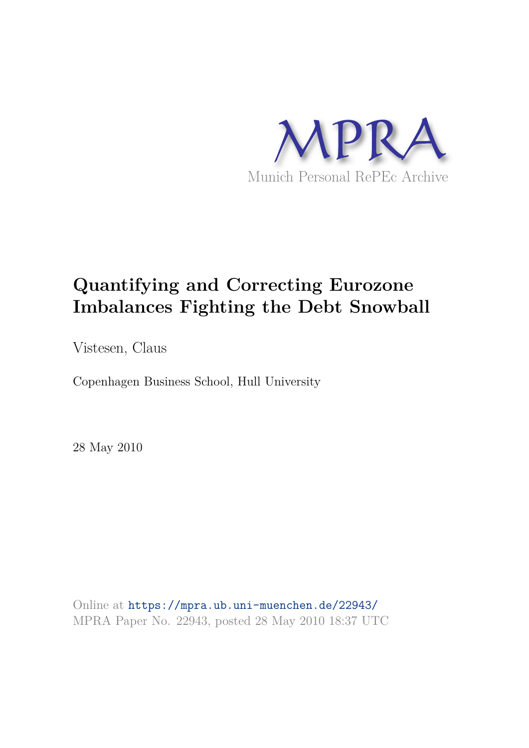

# **Quantifying and Correcting Eurozone Imbalances Fighting the Debt Snowball**

Vistesen, Claus

Copenhagen Business School, Hull University

28 May 2010

Online at https://mpra.ub.uni-muenchen.de/22943/ MPRA Paper No. 22943, posted 28 May 2010 18:37 UTC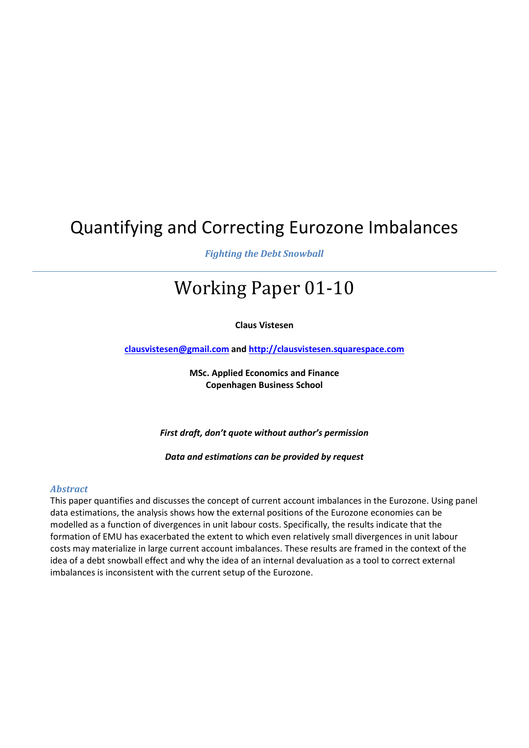# Quantifying and Correcting Eurozone Imbalances

*Fighting the Debt Snowball* 

# Working Paper 01-10

**Claus Vistesen**

**clausvistesen@gmail.com and http://clausvistesen.squarespace.com** 

**MSc. Applied Economics and Finance Copenhagen Business School** 

*First draft, don't quote without author's permission* 

*Data and estimations can be provided by request* 

#### *Abstract*

This paper quantifies and discusses the concept of current account imbalances in the Eurozone. Using panel data estimations, the analysis shows how the external positions of the Eurozone economies can be modelled as a function of divergences in unit labour costs. Specifically, the results indicate that the formation of EMU has exacerbated the extent to which even relatively small divergences in unit labour costs may materialize in large current account imbalances. These results are framed in the context of the idea of a debt snowball effect and why the idea of an internal devaluation as a tool to correct external imbalances is inconsistent with the current setup of the Eurozone.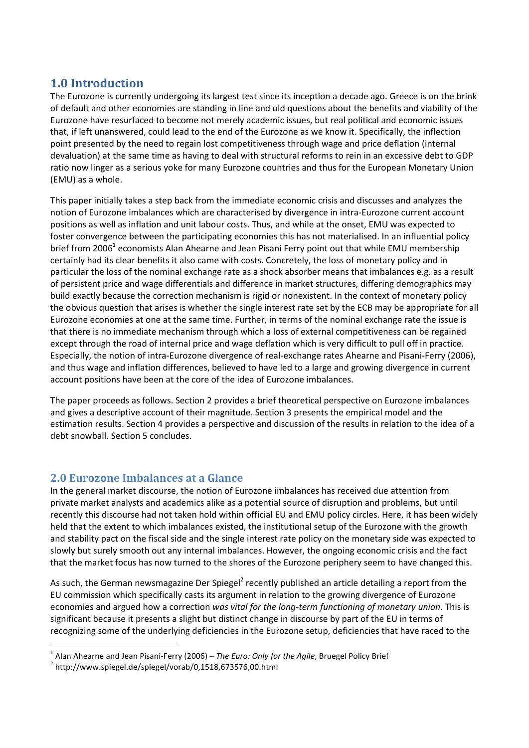# **1.0 Introduction**

The Eurozone is currently undergoing its largest test since its inception a decade ago. Greece is on the brink of default and other economies are standing in line and old questions about the benefits and viability of the Eurozone have resurfaced to become not merely academic issues, but real political and economic issues that, if left unanswered, could lead to the end of the Eurozone as we know it. Specifically, the inflection point presented by the need to regain lost competitiveness through wage and price deflation (internal devaluation) at the same time as having to deal with structural reforms to rein in an excessive debt to GDP ratio now linger as a serious yoke for many Eurozone countries and thus for the European Monetary Union (EMU) as a whole.

This paper initially takes a step back from the immediate economic crisis and discusses and analyzes the notion of Eurozone imbalances which are characterised by divergence in intra-Eurozone current account positions as well as inflation and unit labour costs. Thus, and while at the onset, EMU was expected to foster convergence between the participating economies this has not materialised. In an influential policy brief from 2006<sup>1</sup> economists Alan Ahearne and Jean Pisani Ferry point out that while EMU membership certainly had its clear benefits it also came with costs. Concretely, the loss of monetary policy and in particular the loss of the nominal exchange rate as a shock absorber means that imbalances e.g. as a result of persistent price and wage differentials and difference in market structures, differing demographics may build exactly because the correction mechanism is rigid or nonexistent. In the context of monetary policy the obvious question that arises is whether the single interest rate set by the ECB may be appropriate for all Eurozone economies at one at the same time. Further, in terms of the nominal exchange rate the issue is that there is no immediate mechanism through which a loss of external competitiveness can be regained except through the road of internal price and wage deflation which is very difficult to pull off in practice. Especially, the notion of intra-Eurozone divergence of real-exchange rates Ahearne and Pisani-Ferry (2006), and thus wage and inflation differences, believed to have led to a large and growing divergence in current account positions have been at the core of the idea of Eurozone imbalances.

The paper proceeds as follows. Section 2 provides a brief theoretical perspective on Eurozone imbalances and gives a descriptive account of their magnitude. Section 3 presents the empirical model and the estimation results. Section 4 provides a perspective and discussion of the results in relation to the idea of a debt snowball. Section 5 concludes.

# **2.0 Eurozone Imbalances at a Glance**

In the general market discourse, the notion of Eurozone imbalances has received due attention from private market analysts and academics alike as a potential source of disruption and problems, but until recently this discourse had not taken hold within official EU and EMU policy circles. Here, it has been widely held that the extent to which imbalances existed, the institutional setup of the Eurozone with the growth and stability pact on the fiscal side and the single interest rate policy on the monetary side was expected to slowly but surely smooth out any internal imbalances. However, the ongoing economic crisis and the fact that the market focus has now turned to the shores of the Eurozone periphery seem to have changed this.

As such, the German newsmagazine Der Spiegel<sup>2</sup> recently published an article detailing a report from the EU commission which specifically casts its argument in relation to the growing divergence of Eurozone economies and argued how a correction *was vital for the long-term functioning of monetary union*. This is significant because it presents a slight but distinct change in discourse by part of the EU in terms of recognizing some of the underlying deficiencies in the Eurozone setup, deficiencies that have raced to the

<sup>1</sup> Alan Ahearne and Jean Pisani-Ferry (2006) – *The Euro: Only for the Agile*, Bruegel Policy Brief

 $^2$  http://www.spiegel.de/spiegel/vorab/0,1518,673576,00.html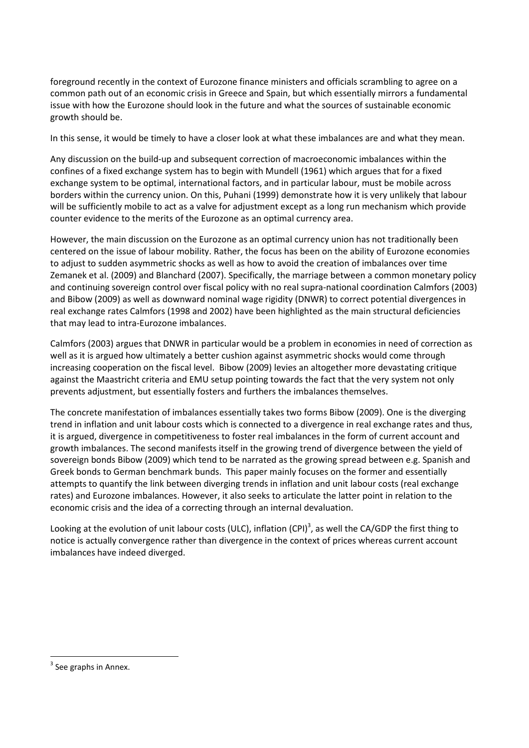foreground recently in the context of Eurozone finance ministers and officials scrambling to agree on a common path out of an economic crisis in Greece and Spain, but which essentially mirrors a fundamental issue with how the Eurozone should look in the future and what the sources of sustainable economic growth should be.

In this sense, it would be timely to have a closer look at what these imbalances are and what they mean.

Any discussion on the build-up and subsequent correction of macroeconomic imbalances within the confines of a fixed exchange system has to begin with Mundell (1961) which argues that for a fixed exchange system to be optimal, international factors, and in particular labour, must be mobile across borders within the currency union. On this, Puhani (1999) demonstrate how it is very unlikely that labour will be sufficiently mobile to act as a valve for adjustment except as a long run mechanism which provide counter evidence to the merits of the Eurozone as an optimal currency area.

However, the main discussion on the Eurozone as an optimal currency union has not traditionally been centered on the issue of labour mobility. Rather, the focus has been on the ability of Eurozone economies to adjust to sudden asymmetric shocks as well as how to avoid the creation of imbalances over time Zemanek et al. (2009) and Blanchard (2007). Specifically, the marriage between a common monetary policy and continuing sovereign control over fiscal policy with no real supra-national coordination Calmfors (2003) and Bibow (2009) as well as downward nominal wage rigidity (DNWR) to correct potential divergences in real exchange rates Calmfors (1998 and 2002) have been highlighted as the main structural deficiencies that may lead to intra-Eurozone imbalances.

Calmfors (2003) argues that DNWR in particular would be a problem in economies in need of correction as well as it is argued how ultimately a better cushion against asymmetric shocks would come through increasing cooperation on the fiscal level. Bibow (2009) levies an altogether more devastating critique against the Maastricht criteria and EMU setup pointing towards the fact that the very system not only prevents adjustment, but essentially fosters and furthers the imbalances themselves.

The concrete manifestation of imbalances essentially takes two forms Bibow (2009). One is the diverging trend in inflation and unit labour costs which is connected to a divergence in real exchange rates and thus, it is argued, divergence in competitiveness to foster real imbalances in the form of current account and growth imbalances. The second manifests itself in the growing trend of divergence between the yield of sovereign bonds Bibow (2009) which tend to be narrated as the growing spread between e.g. Spanish and Greek bonds to German benchmark bunds. This paper mainly focuses on the former and essentially attempts to quantify the link between diverging trends in inflation and unit labour costs (real exchange rates) and Eurozone imbalances. However, it also seeks to articulate the latter point in relation to the economic crisis and the idea of a correcting through an internal devaluation.

Looking at the evolution of unit labour costs (ULC), inflation (CPI)<sup>3</sup>, as well the CA/GDP the first thing to notice is actually convergence rather than divergence in the context of prices whereas current account imbalances have indeed diverged.

<sup>&</sup>lt;sup>3</sup> See graphs in Annex.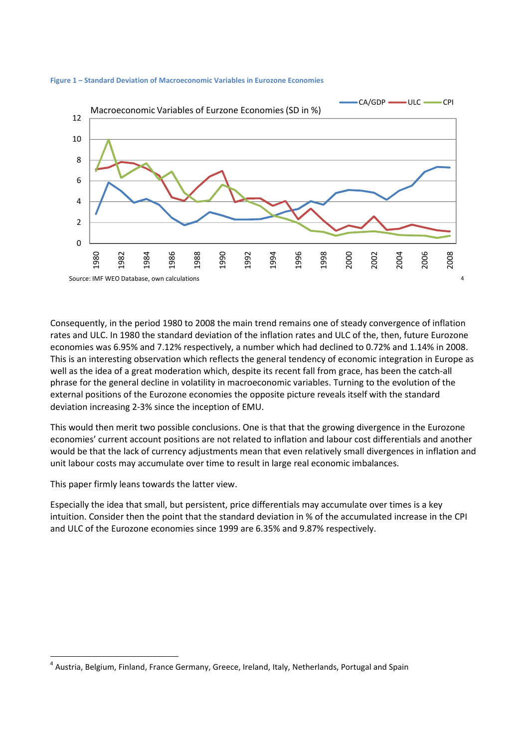



Consequently, in the period 1980 to 2008 the main trend remains one of steady convergence of inflation rates and ULC. In 1980 the standard deviation of the inflation rates and ULC of the, then, future Eurozone economies was 6.95% and 7.12% respectively, a number which had declined to 0.72% and 1.14% in 2008. This is an interesting observation which reflects the general tendency of economic integration in Europe as well as the idea of a great moderation which, despite its recent fall from grace, has been the catch-all phrase for the general decline in volatility in macroeconomic variables. Turning to the evolution of the external positions of the Eurozone economies the opposite picture reveals itself with the standard deviation increasing 2-3% since the inception of EMU.

This would then merit two possible conclusions. One is that that the growing divergence in the Eurozone economies' current account positions are not related to inflation and labour cost differentials and another would be that the lack of currency adjustments mean that even relatively small divergences in inflation and unit labour costs may accumulate over time to result in large real economic imbalances.

This paper firmly leans towards the latter view.

 $\overline{\phantom{0}}$ 

Especially the idea that small, but persistent, price differentials may accumulate over times is a key intuition. Consider then the point that the standard deviation in % of the accumulated increase in the CPI and ULC of the Eurozone economies since 1999 are 6.35% and 9.87% respectively.

<sup>&</sup>lt;sup>4</sup> Austria, Belgium, Finland, France Germany, Greece, Ireland, Italy, Netherlands, Portugal and Spain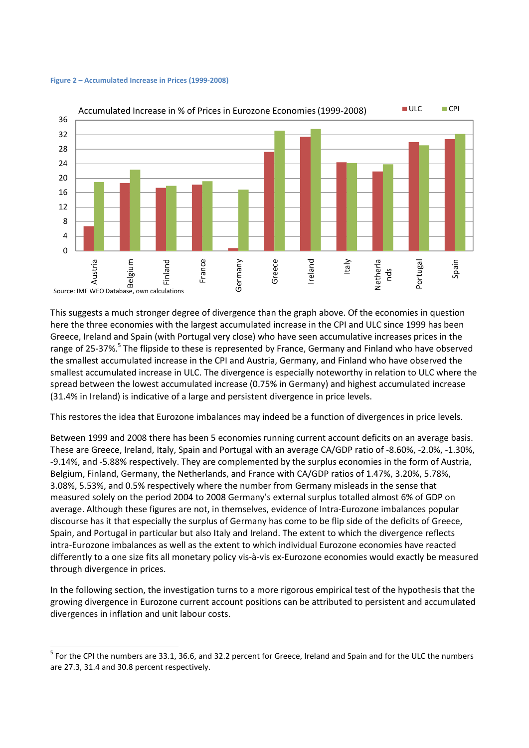#### **Figure 2 – Accumulated Increase in Prices (1999-2008)**

 $\overline{a}$ 



This suggests a much stronger degree of divergence than the graph above. Of the economies in question here the three economies with the largest accumulated increase in the CPI and ULC since 1999 has been Greece, Ireland and Spain (with Portugal very close) who have seen accumulative increases prices in the range of 25-37%.<sup>5</sup> The flipside to these is represented by France, Germany and Finland who have observed the smallest accumulated increase in the CPI and Austria, Germany, and Finland who have observed the smallest accumulated increase in ULC. The divergence is especially noteworthy in relation to ULC where the spread between the lowest accumulated increase (0.75% in Germany) and highest accumulated increase (31.4% in Ireland) is indicative of a large and persistent divergence in price levels.

This restores the idea that Eurozone imbalances may indeed be a function of divergences in price levels.

Between 1999 and 2008 there has been 5 economies running current account deficits on an average basis. These are Greece, Ireland, Italy, Spain and Portugal with an average CA/GDP ratio of -8.60%, -2.0%, -1.30%, -9.14%, and -5.88% respectively. They are complemented by the surplus economies in the form of Austria, Belgium, Finland, Germany, the Netherlands, and France with CA/GDP ratios of 1.47%, 3.20%, 5.78%, 3.08%, 5.53%, and 0.5% respectively where the number from Germany misleads in the sense that measured solely on the period 2004 to 2008 Germany's external surplus totalled almost 6% of GDP on average. Although these figures are not, in themselves, evidence of Intra-Eurozone imbalances popular discourse has it that especially the surplus of Germany has come to be flip side of the deficits of Greece, Spain, and Portugal in particular but also Italy and Ireland. The extent to which the divergence reflects intra-Eurozone imbalances as well as the extent to which individual Eurozone economies have reacted differently to a one size fits all monetary policy vis-à-vis ex-Eurozone economies would exactly be measured through divergence in prices.

In the following section, the investigation turns to a more rigorous empirical test of the hypothesis that the growing divergence in Eurozone current account positions can be attributed to persistent and accumulated divergences in inflation and unit labour costs.

<sup>&</sup>lt;sup>5</sup> For the CPI the numbers are 33.1, 36.6, and 32.2 percent for Greece, Ireland and Spain and for the ULC the numbers are 27.3, 31.4 and 30.8 percent respectively.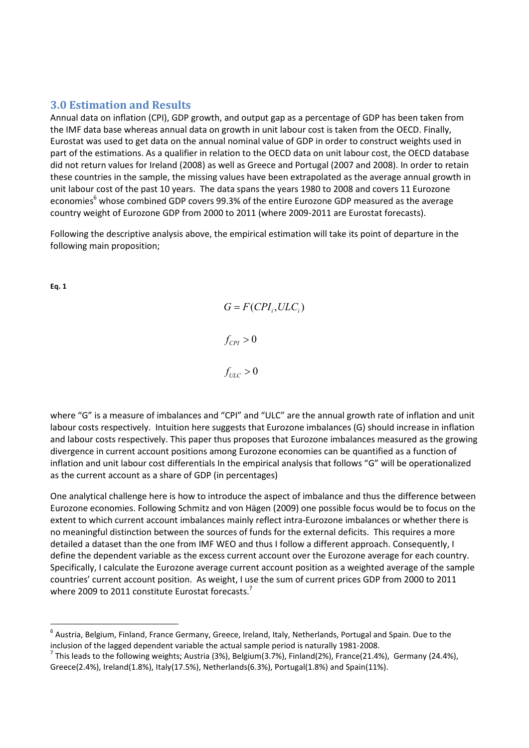## **3.0 Estimation and Results**

Annual data on inflation (CPI), GDP growth, and output gap as a percentage of GDP has been taken from the IMF data base whereas annual data on growth in unit labour cost is taken from the OECD. Finally, Eurostat was used to get data on the annual nominal value of GDP in order to construct weights used in part of the estimations. As a qualifier in relation to the OECD data on unit labour cost, the OECD database did not return values for Ireland (2008) as well as Greece and Portugal (2007 and 2008). In order to retain these countries in the sample, the missing values have been extrapolated as the average annual growth in unit labour cost of the past 10 years. The data spans the years 1980 to 2008 and covers 11 Eurozone economies<sup>6</sup> whose combined GDP covers 99.3% of the entire Eurozone GDP measured as the average country weight of Eurozone GDP from 2000 to 2011 (where 2009-2011 are Eurostat forecasts).

Following the descriptive analysis above, the empirical estimation will take its point of departure in the following main proposition;

**Eq. 1** 

l

 $G = F(CPI_i, ULC_i)$  $f_{CPI} > 0$  $f_{ULC} > 0$ 

where "G" is a measure of imbalances and "CPI" and "ULC" are the annual growth rate of inflation and unit labour costs respectively. Intuition here suggests that Eurozone imbalances (G) should increase in inflation and labour costs respectively. This paper thus proposes that Eurozone imbalances measured as the growing divergence in current account positions among Eurozone economies can be quantified as a function of inflation and unit labour cost differentials In the empirical analysis that follows "G" will be operationalized as the current account as a share of GDP (in percentages)

One analytical challenge here is how to introduce the aspect of imbalance and thus the difference between Eurozone economies. Following Schmitz and von Hägen (2009) one possible focus would be to focus on the extent to which current account imbalances mainly reflect intra-Eurozone imbalances or whether there is no meaningful distinction between the sources of funds for the external deficits. This requires a more detailed a dataset than the one from IMF WEO and thus I follow a different approach. Consequently, I define the dependent variable as the excess current account over the Eurozone average for each country. Specifically, I calculate the Eurozone average current account position as a weighted average of the sample countries' current account position. As weight, I use the sum of current prices GDP from 2000 to 2011 where 2009 to 2011 constitute Eurostat forecasts.<sup>7</sup>

 $^6$  Austria, Belgium, Finland, France Germany, Greece, Ireland, Italy, Netherlands, Portugal and Spain. Due to the inclusion of the lagged dependent variable the actual sample period is naturally 1981-2008.

<sup>&</sup>lt;sup>7</sup> This leads to the following weights; Austria (3%), Belgium(3.7%), Finland(2%), France(21.4%), Germany (24.4%), Greece(2.4%), Ireland(1.8%), Italy(17.5%), Netherlands(6.3%), Portugal(1.8%) and Spain(11%).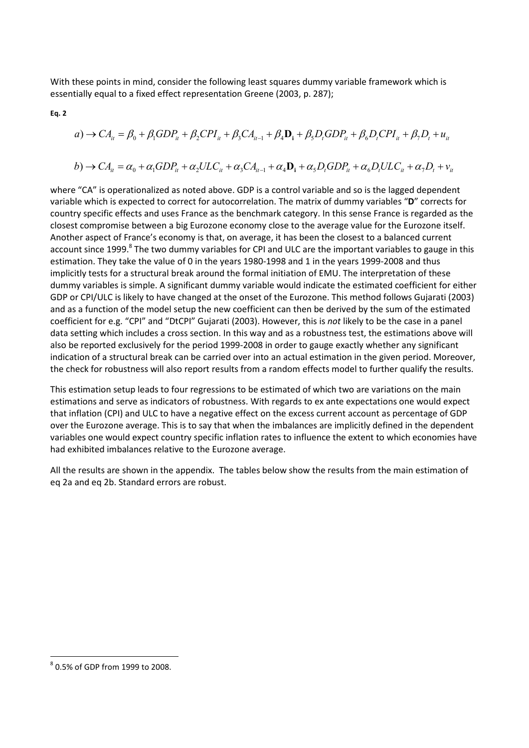With these points in mind, consider the following least squares dummy variable framework which is essentially equal to a fixed effect representation Greene (2003, p. 287);

$$
\mathsf{Eq.}\;2
$$

$$
a) \rightarrow CA_{it} = \beta_0 + \beta_1 GDP_{it} + \beta_2 CPL_{it} + \beta_3 CA_{it-1} + \beta_4 \mathbf{D}_i + \beta_5 D_t GDP_{it} + \beta_6 D_t CPL_{it} + \beta_7 D_t + u_{it}
$$

$$
b) \rightarrow CA_{it} = \alpha_0 + \alpha_1 GDP_{it} + \alpha_2 ULC_{it} + \alpha_3 CA_{it-1} + \alpha_4 \mathbf{D}_i + \alpha_5 D_i GDP_{it} + \alpha_6 D_i ULC_{it} + \alpha_7 D_t + v_{it}
$$

where "CA" is operationalized as noted above. GDP is a control variable and so is the lagged dependent variable which is expected to correct for autocorrelation. The matrix of dummy variables "**D**" corrects for country specific effects and uses France as the benchmark category. In this sense France is regarded as the closest compromise between a big Eurozone economy close to the average value for the Eurozone itself. Another aspect of France's economy is that, on average, it has been the closest to a balanced current account since 1999.<sup>8</sup> The two dummy variables for CPI and ULC are the important variables to gauge in this estimation. They take the value of 0 in the years 1980-1998 and 1 in the years 1999-2008 and thus implicitly tests for a structural break around the formal initiation of EMU. The interpretation of these dummy variables is simple. A significant dummy variable would indicate the estimated coefficient for either GDP or CPI/ULC is likely to have changed at the onset of the Eurozone. This method follows Gujarati (2003) and as a function of the model setup the new coefficient can then be derived by the sum of the estimated coefficient for e.g. "CPI" and "DtCPI" Gujarati (2003). However, this is *not* likely to be the case in a panel data setting which includes a cross section. In this way and as a robustness test, the estimations above will also be reported exclusively for the period 1999-2008 in order to gauge exactly whether any significant indication of a structural break can be carried over into an actual estimation in the given period. Moreover, the check for robustness will also report results from a random effects model to further qualify the results.

This estimation setup leads to four regressions to be estimated of which two are variations on the main estimations and serve as indicators of robustness. With regards to ex ante expectations one would expect that inflation (CPI) and ULC to have a negative effect on the excess current account as percentage of GDP over the Eurozone average. This is to say that when the imbalances are implicitly defined in the dependent variables one would expect country specific inflation rates to influence the extent to which economies have had exhibited imbalances relative to the Eurozone average.

All the results are shown in the appendix. The tables below show the results from the main estimation of eq 2a and eq 2b. Standard errors are robust.

 $^8$  0.5% of GDP from 1999 to 2008.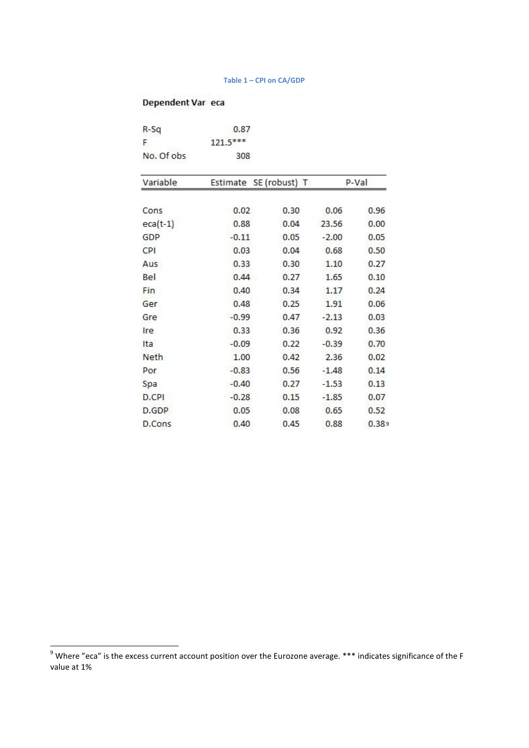#### **Table 1 – CPI on CA/GDP**

## Dependent Var eca

| $R-Sq$      | 0.87     |                        |         |       |
|-------------|----------|------------------------|---------|-------|
| F           | 121.5*** |                        |         |       |
| No. Of obs  | 308      |                        |         |       |
| Variable    |          | Estimate SE (robust) T |         | P-Val |
| Cons        | 0.02     | 0.30                   | 0.06    | 0.96  |
| $eca(t-1)$  | 0.88     | 0.04                   | 23.56   | 0.00  |
| GDP         | $-0.11$  | 0.05                   | $-2.00$ | 0.05  |
| CPI         | 0.03     | 0.04                   | 0.68    | 0.50  |
| Aus         | 0.33     | 0.30                   | 1.10    | 0.27  |
| Bel         | 0.44     | 0.27                   | 1.65    | 0.10  |
| Fin         | 0.40     | 0.34                   | 1.17    | 0.24  |
| Ger         | 0.48     | 0.25                   | 1.91    | 0.06  |
| Gre         | $-0.99$  | 0.47                   | $-2.13$ | 0.03  |
| Ire         | 0.33     | 0.36                   | 0.92    | 0.36  |
| Ita         | $-0.09$  | 0.22                   | $-0.39$ | 0.70  |
| <b>Neth</b> | 1.00     | 0.42                   | 2.36    | 0.02  |
| Por         | $-0.83$  | 0.56                   | $-1.48$ | 0.14  |
| Spa         | $-0.40$  | 0.27                   | $-1.53$ | 0.13  |
| D.CPI       | $-0.28$  | 0.15                   | $-1.85$ | 0.07  |
| D.GDP       | 0.05     | 0.08                   | 0.65    | 0.52  |
| D.Cons      | 0.40     | 0.45                   | 0.88    | 0.389 |

 9 Where "eca" is the excess current account position over the Eurozone average. \*\*\* indicates significance of the F value at 1%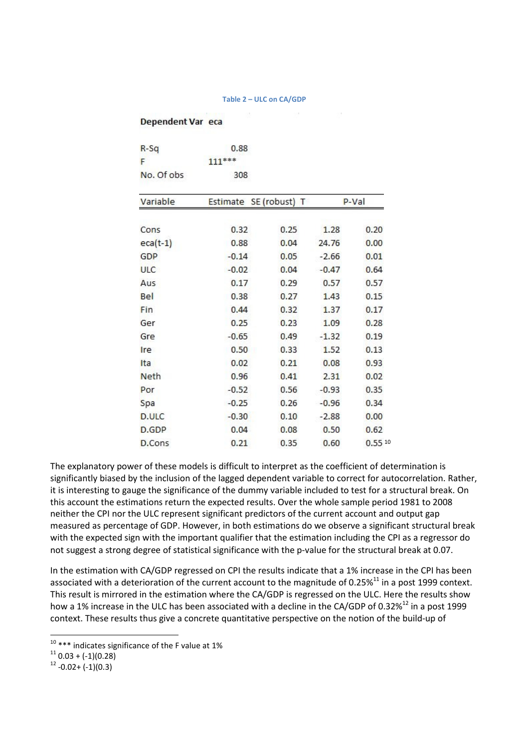#### **Table 2 – ULC on CA/GDP**

#### Dependent Var eca

| $R-Sq$        | 0.88     |               |         |        |
|---------------|----------|---------------|---------|--------|
| F             | $111***$ |               |         |        |
| No. Of obs    | 308      |               |         |        |
| Variable      | Estimate | SE (robust) T |         | P-Val  |
| Cons          | 0.32     | 0.25          | 1.28    | 0.20   |
| $eca(t-1)$    | 0.88     | 0.04          | 24.76   | 0.00   |
| GDP           | $-0.14$  | 0.05          | $-2.66$ | 0.01   |
| <b>ULC</b>    | $-0.02$  | 0.04          | $-0.47$ | 0.64   |
| Aus           | 0.17     | 0.29          | 0.57    | 0.57   |
| Bel           | 0.38     | 0.27          | 1.43    | 0.15   |
| Fin           | 0.44     | 0.32          | 1.37    | 0.17   |
| Ger           | 0.25     | 0.23          | 1.09    | 0.28   |
| Gre           | $-0.65$  | 0.49          | $-1.32$ | 0.19   |
| Ire           | 0.50     | 0.33          | 1.52    | 0.13   |
| Ita           | 0.02     | 0.21          | 0.08    | 0.93   |
| <b>Neth</b>   | 0.96     | 0.41          | 2.31    | 0.02   |
| Por           | $-0.52$  | 0.56          | $-0.93$ | 0.35   |
| Spa           | $-0.25$  | 0.26          | $-0.96$ | 0.34   |
| D.ULC         | $-0.30$  | 0.10          | $-2.88$ | 0.00   |
| D.GDP         | 0.04     | 0.08          | 0.50    | 0.62   |
| <b>D.Cons</b> | 0.21     | 0.35          | 0.60    | 0.5510 |

The explanatory power of these models is difficult to interpret as the coefficient of determination is significantly biased by the inclusion of the lagged dependent variable to correct for autocorrelation. Rather, it is interesting to gauge the significance of the dummy variable included to test for a structural break. On this account the estimations return the expected results. Over the whole sample period 1981 to 2008 neither the CPI nor the ULC represent significant predictors of the current account and output gap measured as percentage of GDP. However, in both estimations do we observe a significant structural break with the expected sign with the important qualifier that the estimation including the CPI as a regressor do not suggest a strong degree of statistical significance with the p-value for the structural break at 0.07.

In the estimation with CA/GDP regressed on CPI the results indicate that a 1% increase in the CPI has been associated with a deterioration of the current account to the magnitude of 0.25%<sup>11</sup> in a post 1999 context. This result is mirrored in the estimation where the CA/GDP is regressed on the ULC. Here the results show how a 1% increase in the ULC has been associated with a decline in the CA/GDP of 0.32%<sup>12</sup> in a post 1999 context. These results thus give a concrete quantitative perspective on the notion of the build-up of

 $10***$  indicates significance of the F value at 1%

 $11$  0.03 + (-1)(0.28)

 $12 -0.02 + (-1)(0.3)$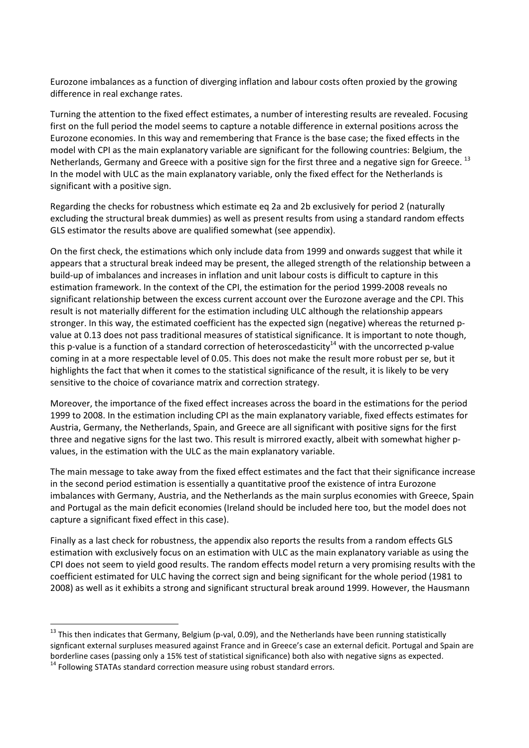Eurozone imbalances as a function of diverging inflation and labour costs often proxied by the growing difference in real exchange rates.

Turning the attention to the fixed effect estimates, a number of interesting results are revealed. Focusing first on the full period the model seems to capture a notable difference in external positions across the Eurozone economies. In this way and remembering that France is the base case; the fixed effects in the model with CPI as the main explanatory variable are significant for the following countries: Belgium, the Netherlands, Germany and Greece with a positive sign for the first three and a negative sign for Greece. <sup>13</sup> In the model with ULC as the main explanatory variable, only the fixed effect for the Netherlands is significant with a positive sign.

Regarding the checks for robustness which estimate eq 2a and 2b exclusively for period 2 (naturally excluding the structural break dummies) as well as present results from using a standard random effects GLS estimator the results above are qualified somewhat (see appendix).

On the first check, the estimations which only include data from 1999 and onwards suggest that while it appears that a structural break indeed may be present, the alleged strength of the relationship between a build-up of imbalances and increases in inflation and unit labour costs is difficult to capture in this estimation framework. In the context of the CPI, the estimation for the period 1999-2008 reveals no significant relationship between the excess current account over the Eurozone average and the CPI. This result is not materially different for the estimation including ULC although the relationship appears stronger. In this way, the estimated coefficient has the expected sign (negative) whereas the returned pvalue at 0.13 does not pass traditional measures of statistical significance. It is important to note though, this p-value is a function of a standard correction of heteroscedasticity<sup>14</sup> with the uncorrected p-value coming in at a more respectable level of 0.05. This does not make the result more robust per se, but it highlights the fact that when it comes to the statistical significance of the result, it is likely to be very sensitive to the choice of covariance matrix and correction strategy.

Moreover, the importance of the fixed effect increases across the board in the estimations for the period 1999 to 2008. In the estimation including CPI as the main explanatory variable, fixed effects estimates for Austria, Germany, the Netherlands, Spain, and Greece are all significant with positive signs for the first three and negative signs for the last two. This result is mirrored exactly, albeit with somewhat higher pvalues, in the estimation with the ULC as the main explanatory variable.

The main message to take away from the fixed effect estimates and the fact that their significance increase in the second period estimation is essentially a quantitative proof the existence of intra Eurozone imbalances with Germany, Austria, and the Netherlands as the main surplus economies with Greece, Spain and Portugal as the main deficit economies (Ireland should be included here too, but the model does not capture a significant fixed effect in this case).

Finally as a last check for robustness, the appendix also reports the results from a random effects GLS estimation with exclusively focus on an estimation with ULC as the main explanatory variable as using the CPI does not seem to yield good results. The random effects model return a very promising results with the coefficient estimated for ULC having the correct sign and being significant for the whole period (1981 to 2008) as well as it exhibits a strong and significant structural break around 1999. However, the Hausmann

l

 $13$  This then indicates that Germany, Belgium (p-val, 0.09), and the Netherlands have been running statistically signficant external surpluses measured against France and in Greece's case an external deficit. Portugal and Spain are borderline cases (passing only a 15% test of statistical significance) both also with negative signs as expected. <sup>14</sup> Following STATAs standard correction measure using robust standard errors.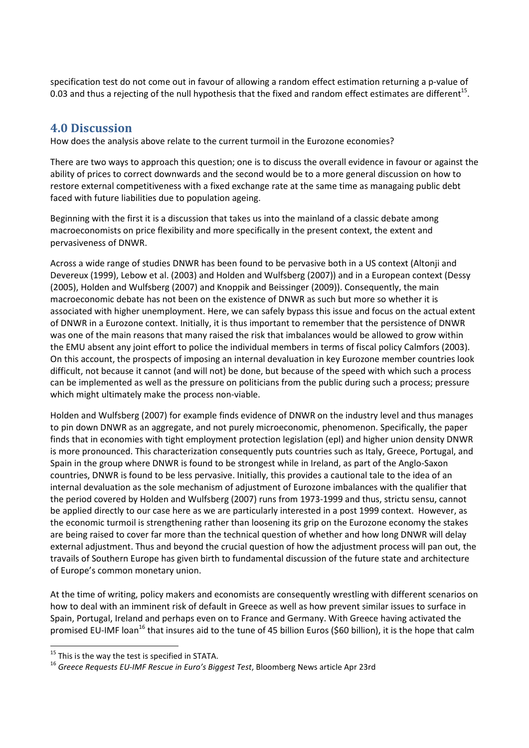specification test do not come out in favour of allowing a random effect estimation returning a p-value of 0.03 and thus a rejecting of the null hypothesis that the fixed and random effect estimates are different<sup>15</sup>.

# **4.0 Discussion**

How does the analysis above relate to the current turmoil in the Eurozone economies?

There are two ways to approach this question; one is to discuss the overall evidence in favour or against the ability of prices to correct downwards and the second would be to a more general discussion on how to restore external competitiveness with a fixed exchange rate at the same time as managaing public debt faced with future liabilities due to population ageing.

Beginning with the first it is a discussion that takes us into the mainland of a classic debate among macroeconomists on price flexibility and more specifically in the present context, the extent and pervasiveness of DNWR.

Across a wide range of studies DNWR has been found to be pervasive both in a US context (Altonji and Devereux (1999), Lebow et al. (2003) and Holden and Wulfsberg (2007)) and in a European context (Dessy (2005), Holden and Wulfsberg (2007) and Knoppik and Beissinger (2009)). Consequently, the main macroeconomic debate has not been on the existence of DNWR as such but more so whether it is associated with higher unemployment. Here, we can safely bypass this issue and focus on the actual extent of DNWR in a Eurozone context. Initially, it is thus important to remember that the persistence of DNWR was one of the main reasons that many raised the risk that imbalances would be allowed to grow within the EMU absent any joint effort to police the individual members in terms of fiscal policy Calmfors (2003). On this account, the prospects of imposing an internal devaluation in key Eurozone member countries look difficult, not because it cannot (and will not) be done, but because of the speed with which such a process can be implemented as well as the pressure on politicians from the public during such a process; pressure which might ultimately make the process non-viable.

Holden and Wulfsberg (2007) for example finds evidence of DNWR on the industry level and thus manages to pin down DNWR as an aggregate, and not purely microeconomic, phenomenon. Specifically, the paper finds that in economies with tight employment protection legislation (epl) and higher union density DNWR is more pronounced. This characterization consequently puts countries such as Italy, Greece, Portugal, and Spain in the group where DNWR is found to be strongest while in Ireland, as part of the Anglo-Saxon countries, DNWR is found to be less pervasive. Initially, this provides a cautional tale to the idea of an internal devaluation as the sole mechanism of adjustment of Eurozone imbalances with the qualifier that the period covered by Holden and Wulfsberg (2007) runs from 1973-1999 and thus, strictu sensu, cannot be applied directly to our case here as we are particularly interested in a post 1999 context. However, as the economic turmoil is strengthening rather than loosening its grip on the Eurozone economy the stakes are being raised to cover far more than the technical question of whether and how long DNWR will delay external adjustment. Thus and beyond the crucial question of how the adjustment process will pan out, the travails of Southern Europe has given birth to fundamental discussion of the future state and architecture of Europe's common monetary union.

At the time of writing, policy makers and economists are consequently wrestling with different scenarios on how to deal with an imminent risk of default in Greece as well as how prevent similar issues to surface in Spain, Portugal, Ireland and perhaps even on to France and Germany. With Greece having activated the promised EU-IMF loan<sup>16</sup> that insures aid to the tune of 45 billion Euros (\$60 billion), it is the hope that calm

 $15$  This is the way the test is specified in STATA.

<sup>16</sup> *Greece Requests EU-IMF Rescue in Euro's Biggest Test*, Bloomberg News article Apr 23rd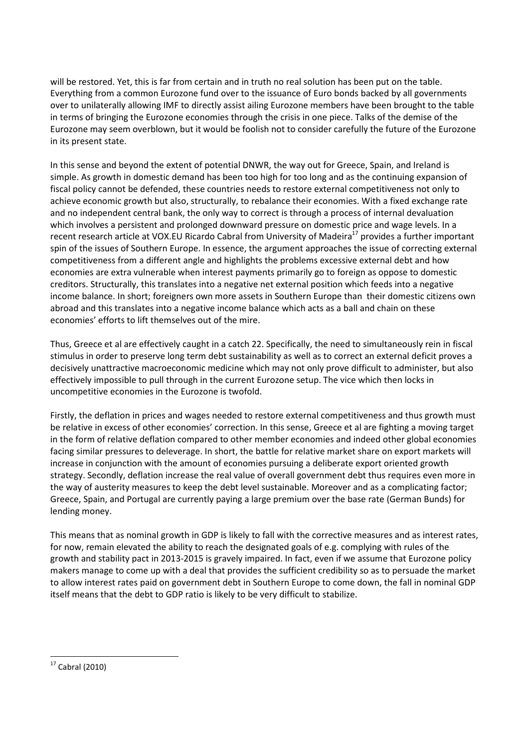will be restored. Yet, this is far from certain and in truth no real solution has been put on the table. Everything from a common Eurozone fund over to the issuance of Euro bonds backed by all governments over to unilaterally allowing IMF to directly assist ailing Eurozone members have been brought to the table in terms of bringing the Eurozone economies through the crisis in one piece. Talks of the demise of the Eurozone may seem overblown, but it would be foolish not to consider carefully the future of the Eurozone in its present state.

In this sense and beyond the extent of potential DNWR, the way out for Greece, Spain, and Ireland is simple. As growth in domestic demand has been too high for too long and as the continuing expansion of fiscal policy cannot be defended, these countries needs to restore external competitiveness not only to achieve economic growth but also, structurally, to rebalance their economies. With a fixed exchange rate and no independent central bank, the only way to correct is through a process of internal devaluation which involves a persistent and prolonged downward pressure on domestic price and wage levels. In a recent research article at VOX.EU Ricardo Cabral from University of Madeira<sup>17</sup> provides a further important spin of the issues of Southern Europe. In essence, the argument approaches the issue of correcting external competitiveness from a different angle and highlights the problems excessive external debt and how economies are extra vulnerable when interest payments primarily go to foreign as oppose to domestic creditors. Structurally, this translates into a negative net external position which feeds into a negative income balance. In short; foreigners own more assets in Southern Europe than their domestic citizens own abroad and this translates into a negative income balance which acts as a ball and chain on these economies' efforts to lift themselves out of the mire.

Thus, Greece et al are effectively caught in a catch 22. Specifically, the need to simultaneously rein in fiscal stimulus in order to preserve long term debt sustainability as well as to correct an external deficit proves a decisively unattractive macroeconomic medicine which may not only prove difficult to administer, but also effectively impossible to pull through in the current Eurozone setup. The vice which then locks in uncompetitive economies in the Eurozone is twofold.

Firstly, the deflation in prices and wages needed to restore external competitiveness and thus growth must be relative in excess of other economies' correction. In this sense, Greece et al are fighting a moving target in the form of relative deflation compared to other member economies and indeed other global economies facing similar pressures to deleverage. In short, the battle for relative market share on export markets will increase in conjunction with the amount of economies pursuing a deliberate export oriented growth strategy. Secondly, deflation increase the real value of overall government debt thus requires even more in the way of austerity measures to keep the debt level sustainable. Moreover and as a complicating factor; Greece, Spain, and Portugal are currently paying a large premium over the base rate (German Bunds) for lending money.

This means that as nominal growth in GDP is likely to fall with the corrective measures and as interest rates, for now, remain elevated the ability to reach the designated goals of e.g. complying with rules of the growth and stability pact in 2013-2015 is gravely impaired. In fact, even if we assume that Eurozone policy makers manage to come up with a deal that provides the sufficient credibility so as to persuade the market to allow interest rates paid on government debt in Southern Europe to come down, the fall in nominal GDP itself means that the debt to GDP ratio is likely to be very difficult to stabilize.

 $17$  Cabral (2010)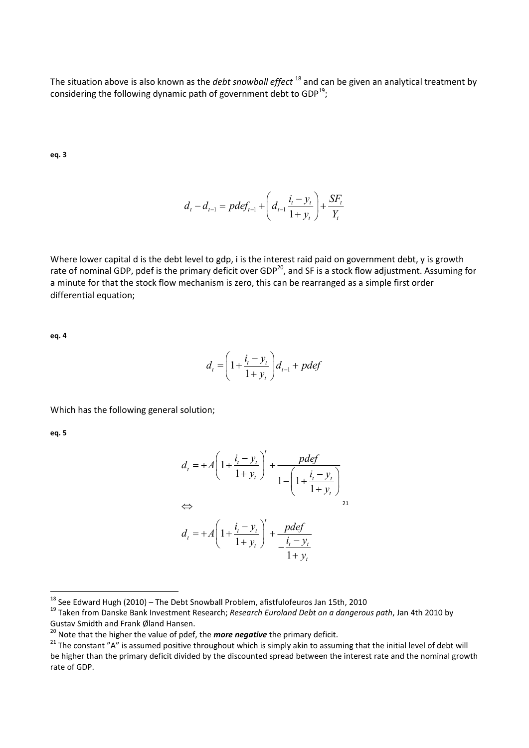The situation above is also known as the *debt snowball effect* <sup>18</sup> and can be given an analytical treatment by considering the following dynamic path of government debt to GDP $^{19}$ ;

**eq. 3** 

$$
d_{t} - d_{t-1} = pdef_{t-1} + \left(d_{t-1} \frac{i_{t} - y_{t}}{1 + y_{t}}\right) + \frac{SF_{t}}{Y_{t}}
$$

Where lower capital d is the debt level to gdp, i is the interest raid paid on government debt, y is growth rate of nominal GDP, pdef is the primary deficit over GDP<sup>20</sup>, and SF is a stock flow adjustment. Assuming for a minute for that the stock flow mechanism is zero, this can be rearranged as a simple first order differential equation;

**eq. 4** 

$$
d_{t} = \left(1 + \frac{i_{t} - y_{t}}{1 + y_{t}}\right) d_{t-1} + pdef
$$

Which has the following general solution;

**eq. 5** 

$$
d_{t} = +A\left(1 + \frac{i_{t} - y_{t}}{1 + y_{t}}\right)^{t} + \frac{pdef}{1 - \left(1 + \frac{i_{t} - y_{t}}{1 + y_{t}}\right)}
$$
  
\n
$$
\Leftrightarrow
$$
  
\n
$$
d_{t} = +A\left(1 + \frac{i_{t} - y_{t}}{1 + y_{t}}\right)^{t} + \frac{pdef}{\frac{i_{t} - y_{t}}{1 + y_{t}}}
$$

 $^{18}$  See Edward Hugh (2010) – The Debt Snowball Problem, afistfulofeuros Jan 15th, 2010

<sup>19</sup> Taken from Danske Bank Investment Research; *Research Euroland Debt on a dangerous path*, Jan 4th 2010 by Gustav Smidth and Frank Øland Hansen.

<sup>&</sup>lt;sup>20</sup> Note that the higher the value of pdef, the *more negative* the primary deficit.

 $21$  The constant "A" is assumed positive throughout which is simply akin to assuming that the initial level of debt will be higher than the primary deficit divided by the discounted spread between the interest rate and the nominal growth rate of GDP.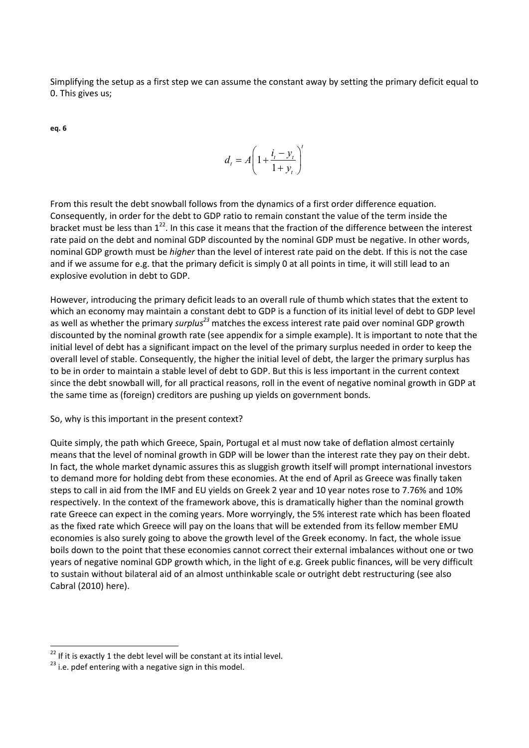Simplifying the setup as a first step we can assume the constant away by setting the primary deficit equal to 0. This gives us;

**eq. 6** 

$$
d_t = A \left( 1 + \frac{i_t - y_t}{1 + y_t} \right)^t
$$

From this result the debt snowball follows from the dynamics of a first order difference equation. Consequently, in order for the debt to GDP ratio to remain constant the value of the term inside the bracket must be less than  $1^{22}$ . In this case it means that the fraction of the difference between the interest rate paid on the debt and nominal GDP discounted by the nominal GDP must be negative. In other words, nominal GDP growth must be *higher* than the level of interest rate paid on the debt. If this is not the case and if we assume for e.g. that the primary deficit is simply 0 at all points in time, it will still lead to an explosive evolution in debt to GDP.

However, introducing the primary deficit leads to an overall rule of thumb which states that the extent to which an economy may maintain a constant debt to GDP is a function of its initial level of debt to GDP level as well as whether the primary *surplus<sup>23</sup>* matches the excess interest rate paid over nominal GDP growth discounted by the nominal growth rate (see appendix for a simple example). It is important to note that the initial level of debt has a significant impact on the level of the primary surplus needed in order to keep the overall level of stable. Consequently, the higher the initial level of debt, the larger the primary surplus has to be in order to maintain a stable level of debt to GDP. But this is less important in the current context since the debt snowball will, for all practical reasons, roll in the event of negative nominal growth in GDP at the same time as (foreign) creditors are pushing up yields on government bonds.

So, why is this important in the present context?

Quite simply, the path which Greece, Spain, Portugal et al must now take of deflation almost certainly means that the level of nominal growth in GDP will be lower than the interest rate they pay on their debt. In fact, the whole market dynamic assures this as sluggish growth itself will prompt international investors to demand more for holding debt from these economies. At the end of April as Greece was finally taken steps to call in aid from the IMF and EU yields on Greek 2 year and 10 year notes rose to 7.76% and 10% respectively. In the context of the framework above, this is dramatically higher than the nominal growth rate Greece can expect in the coming years. More worryingly, the 5% interest rate which has been floated as the fixed rate which Greece will pay on the loans that will be extended from its fellow member EMU economies is also surely going to above the growth level of the Greek economy. In fact, the whole issue boils down to the point that these economies cannot correct their external imbalances without one or two years of negative nominal GDP growth which, in the light of e.g. Greek public finances, will be very difficult to sustain without bilateral aid of an almost unthinkable scale or outright debt restructuring (see also Cabral (2010) here).

 $22$  If it is exactly 1 the debt level will be constant at its intial level.

 $^{23}$  i.e. pdef entering with a negative sign in this model.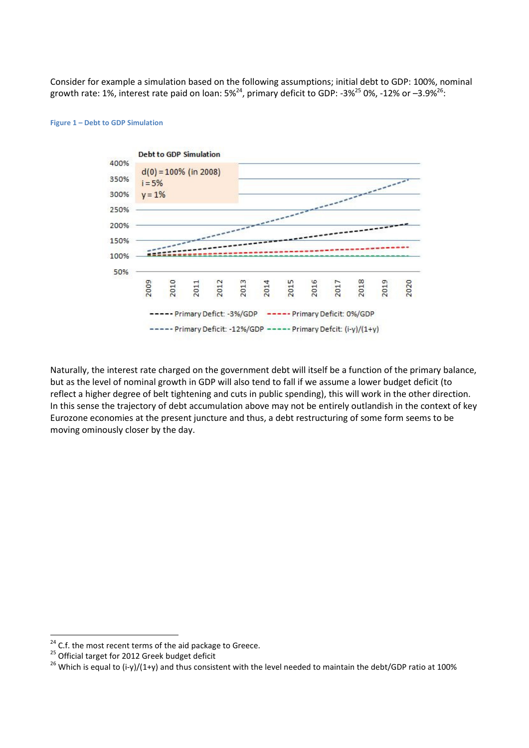Consider for example a simulation based on the following assumptions; initial debt to GDP: 100%, nominal growth rate: 1%, interest rate paid on loan: 5%<sup>24</sup>, primary deficit to GDP: -3%<sup>25</sup> 0%, -12% or -3.9%<sup>26</sup>:



#### **Figure 1 – Debt to GDP Simulation**

Naturally, the interest rate charged on the government debt will itself be a function of the primary balance, but as the level of nominal growth in GDP will also tend to fall if we assume a lower budget deficit (to reflect a higher degree of belt tightening and cuts in public spending), this will work in the other direction. In this sense the trajectory of debt accumulation above may not be entirely outlandish in the context of key Eurozone economies at the present juncture and thus, a debt restructuring of some form seems to be moving ominously closer by the day.

<sup>&</sup>lt;sup>24</sup> C.f. the most recent terms of the aid package to Greece.

 $25$  Official target for 2012 Greek budget deficit

<sup>&</sup>lt;sup>26</sup> Which is equal to (i-y)/(1+y) and thus consistent with the level needed to maintain the debt/GDP ratio at 100%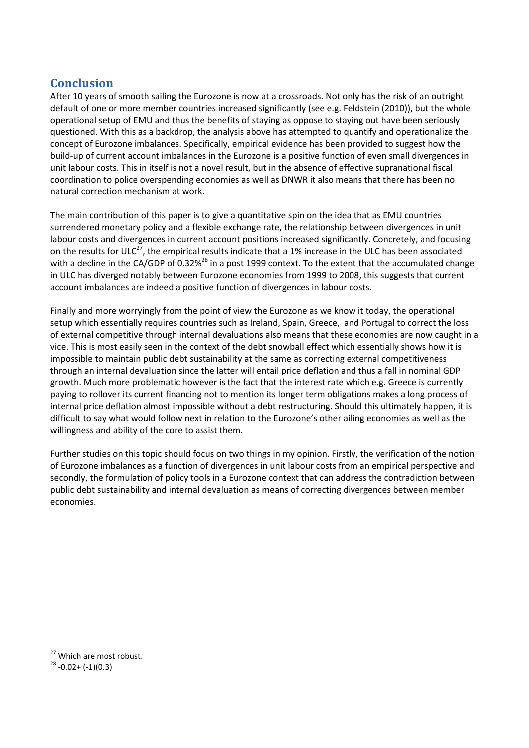# **Conclusion**

After 10 years of smooth sailing the Eurozone is now at a crossroads. Not only has the risk of an outright default of one or more member countries increased significantly (see e.g. Feldstein (2010)), but the whole operational setup of EMU and thus the benefits of staying as oppose to staying out have been seriously questioned. With this as a backdrop, the analysis above has attempted to quantify and operationalize the concept of Eurozone imbalances. Specifically, empirical evidence has been provided to suggest how the build-up of current account imbalances in the Eurozone is a positive function of even small divergences in unit labour costs. This in itself is not a novel result, but in the absence of effective supranational fiscal coordination to police overspending economies as well as DNWR it also means that there has been no natural correction mechanism at work.

The main contribution of this paper is to give a quantitative spin on the idea that as EMU countries surrendered monetary policy and a flexible exchange rate, the relationship between divergences in unit labour costs and divergences in current account positions increased significantly. Concretely, and focusing on the results for ULC<sup>27</sup>, the empirical results indicate that a 1% increase in the ULC has been associated with a decline in the CA/GDP of 0.32%<sup>28</sup> in a post 1999 context. To the extent that the accumulated change in ULC has diverged notably between Eurozone economies from 1999 to 2008, this suggests that current account imbalances are indeed a positive function of divergences in labour costs.

Finally and more worryingly from the point of view the Eurozone as we know it today, the operational setup which essentially requires countries such as Ireland, Spain, Greece, and Portugal to correct the loss of external competitive through internal devaluations also means that these economies are now caught in a vice. This is most easily seen in the context of the debt snowball effect which essentially shows how it is impossible to maintain public debt sustainability at the same as correcting external competitiveness through an internal devaluation since the latter will entail price deflation and thus a fall in nominal GDP growth. Much more problematic however is the fact that the interest rate which e.g. Greece is currently paying to rollover its current financing not to mention its longer term obligations makes a long process of internal price deflation almost impossible without a debt restructuring. Should this ultimately happen, it is difficult to say what would follow next in relation to the Eurozone's other ailing economies as well as the willingness and ability of the core to assist them.

Further studies on this topic should focus on two things in my opinion. Firstly, the verification of the notion of Eurozone imbalances as a function of divergences in unit labour costs from an empirical perspective and secondly, the formulation of policy tools in a Eurozone context that can address the contradiction between public debt sustainability and internal devaluation as means of correcting divergences between member economies.

<sup>&</sup>lt;sup>27</sup> Which are most robust.

 $28 -0.02 + (-1)(0.3)$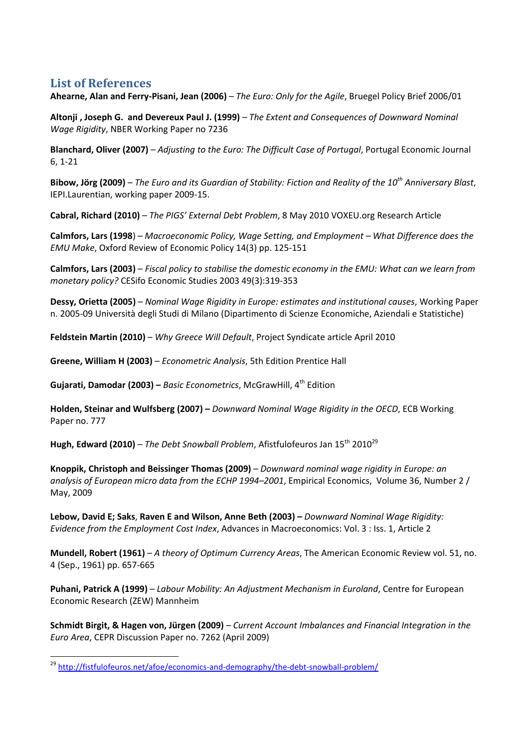## **List of References**

 $\overline{\phantom{0}}$ 

**Ahearne, Alan and Ferry-Pisani, Jean (2006)** – *The Euro: Only for the Agile*, Bruegel Policy Brief 2006/01

**Altonji , Joseph G. and Devereux Paul J. (1999)** – *The Extent and Consequences of Downward Nominal Wage Rigidity*, NBER Working Paper no 7236

**Blanchard, Oliver (2007)** – *Adjusting to the Euro: The Difficult Case of Portugal*, Portugal Economic Journal 6, 1-21

**Bibow, Jörg (2009)** – *The Euro and its Guardian of Stability: Fiction and Reality of the 10th Anniversary Blast*, IEPI.Laurentian, working paper 2009-15.

**Cabral, Richard (2010)** – *The PIGS' External Debt Problem*, 8 May 2010 VOXEU.org Research Article

**Calmfors, Lars (1998**) – *Macroeconomic Policy, Wage Setting, and Employment – What Difference does the EMU Make*, Oxford Review of Economic Policy 14(3) pp. 125-151

**Calmfors, Lars (2003)** – *Fiscal policy to stabilise the domestic economy in the EMU: What can we learn from monetary policy?* CESifo Economic Studies 2003 49(3):319-353

**Dessy, Orietta (2005)** – *Nominal Wage Rigidity in Europe: estimates and institutional causes*, Working Paper n. 2005-09 Università degli Studi di Milano (Dipartimento di Scienze Economiche, Aziendali e Statistiche)

**Feldstein Martin (2010)** – *Why Greece Will Default*, Project Syndicate article April 2010

**Greene, William H (2003)** – *Econometric Analysis*, 5th Edition Prentice Hall

**Gujarati, Damodar (2003) –** *Basic Econometrics*, McGrawHill, 4th Edition

**Holden, Steinar and Wulfsberg (2007) –** *Downward Nominal Wage Rigidity in the OECD*, ECB Working Paper no. 777

**Hugh, Edward (2010)** – *The Debt Snowball Problem*, Afistfulofeuros Jan 15<sup>th</sup> 2010<sup>29</sup>

**Knoppik, Christoph and Beissinger Thomas (2009)** – *Downward nominal wage rigidity in Europe: an analysis of European micro data from the ECHP 1994–2001*, Empirical Economics, Volume 36, Number 2 / May, 2009

**Lebow, David E; Saks**, **Raven E and Wilson, Anne Beth (2003) –** *Downward Nominal Wage Rigidity: Evidence from the Employment Cost Index*, Advances in Macroeconomics: Vol. 3 : Iss. 1, Article 2

**Mundell, Robert (1961)** – *A theory of Optimum Currency Areas*, The American Economic Review vol. 51, no. 4 (Sep., 1961) pp. 657-665

**Puhani, Patrick A (1999)** – *Labour Mobility: An Adjustment Mechanism in Euroland*, Centre for European Economic Research (ZEW) Mannheim

**Schmidt Birgit, & Hagen von, Jürgen (2009)** – *Current Account Imbalances and Financial Integration in the Euro Area*, CEPR Discussion Paper no. 7262 (April 2009)

<sup>&</sup>lt;sup>29</sup> http://fistfulofeuros.net/afoe/economics-and-demography/the-debt-snowball-problem/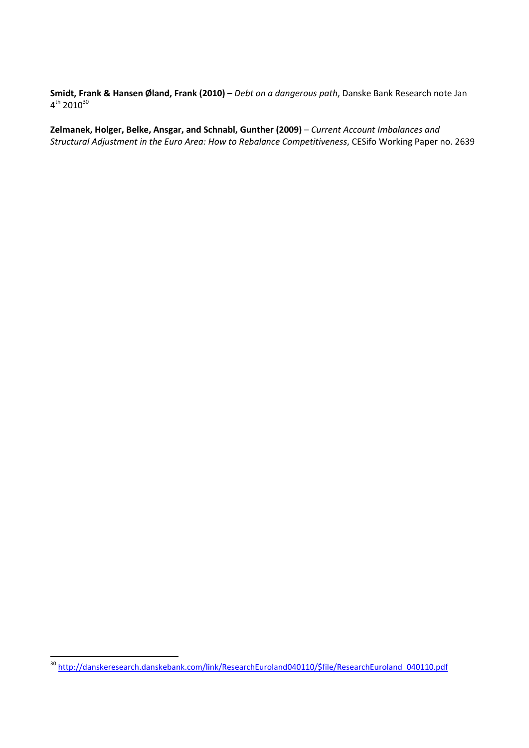**Smidt, Frank & Hansen Øland, Frank (2010)** – *Debt on a dangerous path*, Danske Bank Research note Jan  $4^{\rm th}$  2010 $^{\rm 30}$ 

**Zelmanek, Holger, Belke, Ansgar, and Schnabl, Gunther (2009)** – *Current Account Imbalances and Structural Adjustment in the Euro Area: How to Rebalance Competitiveness*, CESifo Working Paper no. 2639

<sup>&</sup>lt;sup>30</sup> http://danskeresearch.danskebank.com/link/ResearchEuroland040110/\$file/ResearchEuroland\_040110.pdf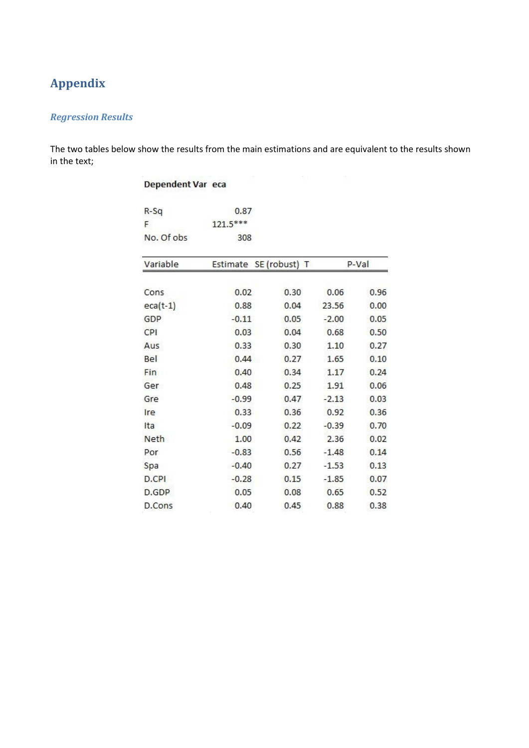# **Appendix**

### *Regression Results*

The two tables below show the results from the main estimations and are equivalent to the results shown in the text;

| Dependent Var eca |            |                        |         |       |  |
|-------------------|------------|------------------------|---------|-------|--|
| R-Sq              | 0.87       |                        |         |       |  |
| F                 | $121.5***$ |                        |         |       |  |
| No. Of obs        | 308        |                        |         |       |  |
| Variable          |            | Estimate SE (robust) T |         | P-Val |  |
| Cons              | 0.02       | 0.30                   | 0.06    | 0.96  |  |
| $eca(t-1)$        | 0.88       | 0.04                   | 23.56   | 0.00  |  |
| GDP               | $-0.11$    | 0.05                   | $-2.00$ | 0.05  |  |
| CPI               | 0.03       | 0.04                   | 0.68    | 0.50  |  |
| Aus               | 0.33       | 0.30                   | 1.10    | 0.27  |  |
| Bel               | 0.44       | 0.27                   | 1.65    | 0.10  |  |
| Fin               | 0.40       | 0.34                   | 1.17    | 0.24  |  |
| Ger               | 0.48       | 0.25                   | 1.91    | 0.06  |  |
| Gre               | $-0.99$    | 0.47                   | $-2.13$ | 0.03  |  |
| Ire               | 0.33       | 0.36                   | 0.92    | 0.36  |  |
| Ita               | $-0.09$    | 0.22                   | $-0.39$ | 0.70  |  |
| <b>Neth</b>       | 1.00       | 0.42                   | 2.36    | 0.02  |  |
| Por               | $-0.83$    | 0.56                   | $-1.48$ | 0.14  |  |
| Spa               | $-0.40$    | 0.27                   | $-1.53$ | 0.13  |  |
| D.CPI             | $-0.28$    | 0.15                   | $-1.85$ | 0.07  |  |
| D.GDP             | 0.05       | 0.08                   | 0.65    | 0.52  |  |
| D.Cons            | 0.40       | 0.45                   | 0.88    | 0.38  |  |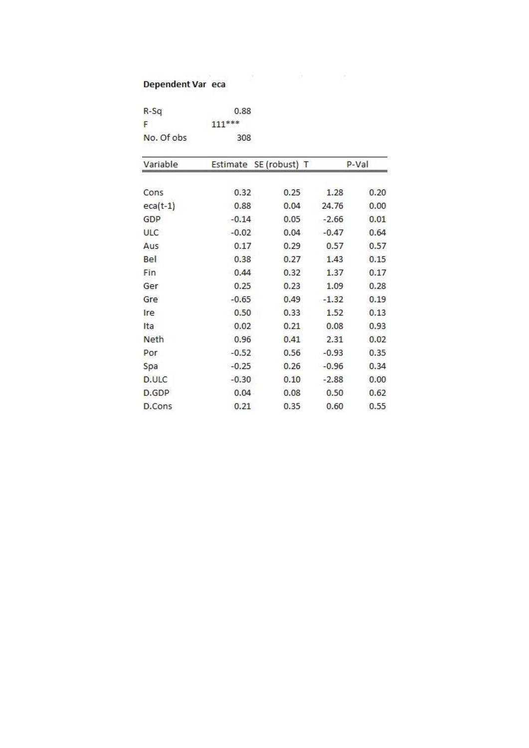# **Dependent Varieta**

| $R-Sq$     | 0.88     |  |
|------------|----------|--|
| н          | $111***$ |  |
| No. Of obs | 308      |  |

| Variable    | Estimate | SE (robust) T |         | P-Val |
|-------------|----------|---------------|---------|-------|
| Cons        | 0.32     | 0.25          | 1.28    | 0.20  |
| $eca(t-1)$  | 0.88     | 0.04          | 24.76   | 0.00  |
| GDP         | $-0.14$  | 0.05          | $-2.66$ | 0.01  |
| <b>ULC</b>  | $-0.02$  | 0.04          | $-0.47$ | 0.64  |
| Aus         | 0.17     | 0.29          | 0.57    | 0.57  |
| Bel         | 0.38     | 0.27          | 1.43    | 0.15  |
| Fin         | 0.44     | 0.32          | 1.37    | 0.17  |
| Ger         | 0.25     | 0.23          | 1.09    | 0.28  |
| Gre         | $-0.65$  | 0.49          | $-1.32$ | 0.19  |
| Ire         | 0.50     | 0.33          | 1.52    | 0.13  |
| Ita         | 0.02     | 0.21          | 0.08    | 0.93  |
| <b>Neth</b> | 0.96     | 0.41          | 2.31    | 0.02  |
| Por         | $-0.52$  | 0.56          | $-0.93$ | 0.35  |
| Spa         | $-0.25$  | 0.26          | $-0.96$ | 0.34  |
| D.ULC       | $-0.30$  | 0.10          | $-2.88$ | 0.00  |
| D.GDP       | 0.04     | 0.08          | 0.50    | 0.62  |
| D.Cons      | 0.21     | 0.35          | 0.60    | 0.55  |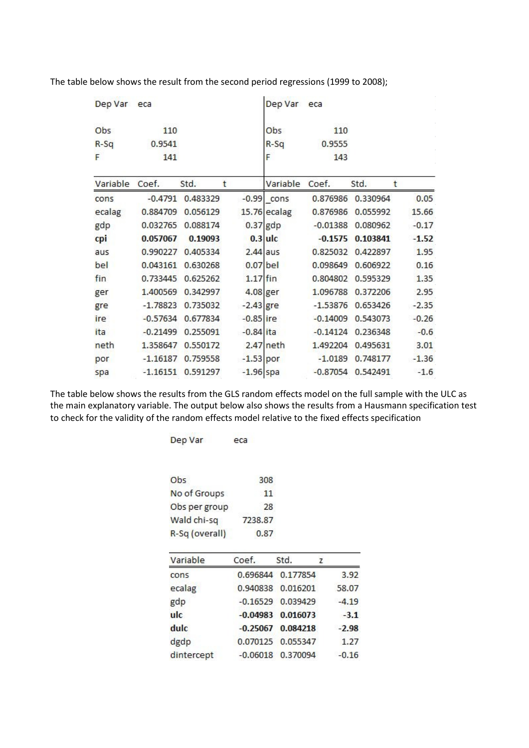| Dep Var eca |            |                     |             | Dep Var      | eca        |                   |         |
|-------------|------------|---------------------|-------------|--------------|------------|-------------------|---------|
| Obs         | 110        |                     |             | Obs          | 110        |                   |         |
| $R-Sq$      | 0.9541     |                     |             | $R-Sq$       | 0.9555     |                   |         |
| F           | 141        |                     |             | F            | 143        |                   |         |
| Variable    | Coef.      | Std.                | t           | Variable     | Coef.      | Std.              | t       |
| cons        |            | $-0.4791$ 0.483329  |             | $-0.99$ cons |            | 0.876986 0.330964 | 0.05    |
| ecalag      | 0.884709   | 0.056129            |             | 15.76 ecalag | 0.876986   | 0.055992          | 15.66   |
| gdp         | 0.032765   | 0.088174            |             | $0.37$ gdp   | $-0.01388$ | 0.080962          | $-0.17$ |
| cpi         | 0.057067   | 0.19093             |             | $0.3$ ulc    | $-0.1575$  | 0.103841          | $-1.52$ |
| aus         | 0.990227   | 0.405334            | $2.44$ aus  |              | 0.825032   | 0.422897          | 1.95    |
| bel         | 0.043161   | 0.630268            | $0.07$ bel  |              | 0.098649   | 0.606922          | 0.16    |
| fin         | 0.733445   | 0.625262            | $1.17$ fin  |              | 0.804802   | 0.595329          | 1.35    |
| ger         | 1.400569   | 0.342997            | 4.08 ger    |              | 1.096788   | 0.372206          | 2.95    |
| gre         | $-1.78823$ | 0.735032            | $-2.43$ gre |              | $-1.53876$ | 0.653426          | $-2.35$ |
| ire         | $-0.57634$ | 0.677834            | $-0.85$ ire |              | $-0.14009$ | 0.543073          | $-0.26$ |
| ita         | $-0.21499$ | 0.255091            | $-0.84$ ita |              | $-0.14124$ | 0.236348          | $-0.6$  |
| neth        | 1.358647   | 0.550172            |             | 2.47 neth    | 1.492204   | 0.495631          | 3.01    |
| por         | $-1.16187$ | 0.759558            | $-1.53$ por |              | $-1.0189$  | 0.748177          | $-1.36$ |
| spa         |            | $-1.16151$ 0.591297 | $-1.96$ spa |              | $-0.87054$ | 0.542491          | $-1.6$  |

The table below shows the result from the second period regressions (1999 to 2008);

The table below shows the results from the GLS random effects model on the full sample with the ULC as the main explanatory variable. The output below also shows the results from a Hausmann specification test to check for the validity of the random effects model relative to the fixed effects specification

| Dep Var        | eca        |          |         |
|----------------|------------|----------|---------|
| Obs            | 308        |          |         |
| No of Groups   | 11         |          |         |
| Obs per group  | 28         |          |         |
| Wald chi-sq    | 7238.87    |          |         |
| R-Sq (overall) | 0.87       |          |         |
| Variable       | Coef.      | Std.     | z       |
| cons           | 0.696844   | 0.177854 | 3.92    |
| ecalag         | 0.940838   | 0.016201 | 58.07   |
| gdp            | $-0.16529$ | 0.039429 | $-4.19$ |
| ulc            | $-0.04983$ | 0.016073 | $-3.1$  |
| dulc           | $-0.25067$ | 0.084218 | $-2.98$ |
| dgdp           | 0.070125   | 0.055347 | 1.27    |
| dintercept     | $-0.06018$ | 0.370094 | $-0.16$ |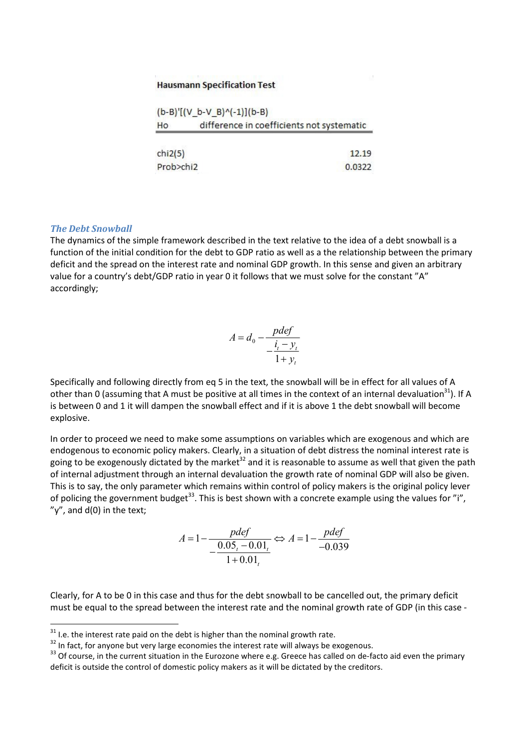#### **Hausmann Specification Test**

|                | $(b-B)'[(V_b-V_B)^(-1)](b-B)$             |
|----------------|-------------------------------------------|
| H <sub>o</sub> | difference in coefficients not systematic |
| chi2(5)        | 12.19                                     |
| Prob>chi2      | 0.0322                                    |

 $\sim 10^{-1}$ 

#### *The Debt Snowball*

l

The dynamics of the simple framework described in the text relative to the idea of a debt snowball is a function of the initial condition for the debt to GDP ratio as well as a the relationship between the primary deficit and the spread on the interest rate and nominal GDP growth. In this sense and given an arbitrary value for a country's debt/GDP ratio in year 0 it follows that we must solve for the constant "A" accordingly;

$$
A = d_0 - \frac{pdef}{-\frac{i_t - y_t}{1 + y_t}}
$$

Specifically and following directly from eq 5 in the text, the snowball will be in effect for all values of A other than 0 (assuming that A must be positive at all times in the context of an internal devaluation<sup>31</sup>). If A is between 0 and 1 it will dampen the snowball effect and if it is above 1 the debt snowball will become explosive.

In order to proceed we need to make some assumptions on variables which are exogenous and which are endogenous to economic policy makers. Clearly, in a situation of debt distress the nominal interest rate is going to be exogenously dictated by the market<sup>32</sup> and it is reasonable to assume as well that given the path of internal adjustment through an internal devaluation the growth rate of nominal GDP will also be given. This is to say, the only parameter which remains within control of policy makers is the original policy lever of policing the government budget<sup>33</sup>. This is best shown with a concrete example using the values for "i",  $y''$ , and  $d(0)$  in the text;

$$
A = 1 - \frac{pdef}{- \frac{0.05 - 0.01}{1 + 0.01}} \Leftrightarrow A = 1 - \frac{pdef}{-0.039}
$$

Clearly, for A to be 0 in this case and thus for the debt snowball to be cancelled out, the primary deficit must be equal to the spread between the interest rate and the nominal growth rate of GDP (in this case -

 $31$  I.e. the interest rate paid on the debt is higher than the nominal growth rate.

 $32$  In fact, for anyone but very large economies the interest rate will always be exogenous.

<sup>&</sup>lt;sup>33</sup> Of course, in the current situation in the Eurozone where e.g. Greece has called on de-facto aid even the primary deficit is outside the control of domestic policy makers as it will be dictated by the creditors.